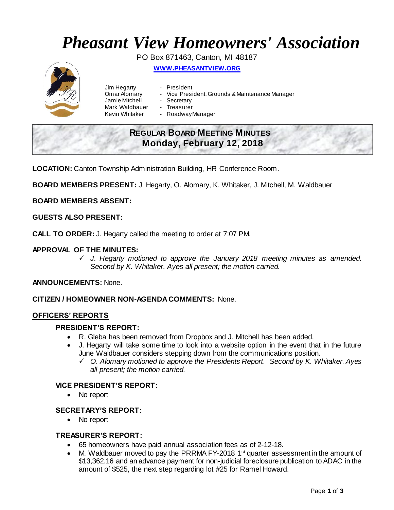# *Pheasant View Homeowners' Association*

PO Box 871463, Canton, MI 48187

**WWW.[PHEASANTVIEW](http://www.pheasantview.org/).ORG**



- Jim Hegarty **-** President<br>Omar Alomary Vice Presi Jamie Mitchell
	-
	- Vice President, Grounds & Maintenance Manager<br>- Secretary
	-
- Mark Waldbauer Treasurer
- Kevin Whitaker Roadway Manager

# **REGULAR BOARD MEETING MINUTES Monday, February 12, 2018**

**LOCATION:** Canton Township Administration Building, HR Conference Room.

**BOARD MEMBERS PRESENT:** J. Hegarty, O. Alomary, K. Whitaker, J. Mitchell, M. Waldbauer

## **BOARD MEMBERS ABSENT:**

#### **GUESTS ALSO PRESENT:**

**CALL TO ORDER:** J. Hegarty called the meeting to order at 7:07 PM.

## **APPROVAL OF THE MINUTES:**

 *J. Hegarty motioned to approve the January 2018 meeting minutes as amended. Second by K. Whitaker. Ayes all present; the motion carried.* 

#### **ANNOUNCEMENTS:** None.

#### **CITIZEN / HOMEOWNER NON-AGENDA COMMENTS:** None.

#### **OFFICERS' REPORTS**

#### **PRESIDENT'S REPORT:**

- R. Gleba has been removed from Dropbox and J. Mitchell has been added.
- J. Hegarty will take some time to look into a website option in the event that in the future June Waldbauer considers stepping down from the communications position.
	- *O. Alomary motioned to approve the Presidents Report. Second by K. Whitaker. Ayes all present; the motion carried.*

#### **VICE PRESIDENT'S REPORT:**

• No report

#### **SECRETARY'S REPORT:**

• No report

#### **TREASURER'S REPORT:**

- 65 homeowners have paid annual association fees as of 2-12-18.
- M. Waldbauer moved to pay the PRRMA FY-2018 1<sup>st</sup> quarter assessment in the amount of \$13,362.16 and an advance payment for non-judicial foreclosure publication to ADAC in the amount of \$525, the next step regarding lot #25 for Ramel Howard.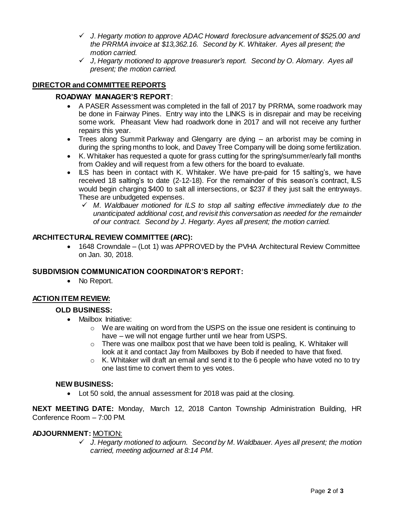- *J. Hegarty motion to approve ADAC Howard foreclosure advancement of \$525.00 and the PRRMA invoice at \$13,362.16. Second by K. Whitaker. Ayes all present; the motion carried.*
- *J, Hegarty motioned to approve treasurer's report. Second by O. Alomary. Ayes all present; the motion carried.*

# **DIRECTOR and COMMITTEE REPORTS**

## **ROADWAY MANAGER'S REPORT**:

- A PASER Assessment was completed in the fall of 2017 by PRRMA, some roadwork may be done in Fairway Pines. Entry way into the LINKS is in disrepair and may be receiving some work. Pheasant View had roadwork done in 2017 and will not receive any further repairs this year.
- Trees along Summit Parkway and Glengarry are dying an arborist may be coming in during the spring months to look, and Davey Tree Company will be doing some fertilization.
- K. Whitaker has requested a quote for grass cutting for the spring/summer/early fall months from Oakley and will request from a few others for the board to evaluate.
- ILS has been in contact with K. Whitaker. We have pre-paid for 15 salting's, we have received 18 salting's to date (2-12-18). For the remainder of this season's contract, ILS would begin charging \$400 to salt all intersections, or \$237 if they just salt the entryways. These are unbudgeted expenses.
	- *M. Waldbauer motioned for ILS to stop all salting effective immediately due to the unanticipated additional cost,and revisit this conversation as needed for the remainder of our contract. Second by J. Hegarty. Ayes all present; the motion carried.*

## **ARCHITECTURAL REVIEW COMMITTEE (ARC):**

 1648 Crowndale – (Lot 1) was APPROVED by the PVHA Architectural Review Committee on Jan. 30, 2018.

#### **SUBDIVISION COMMUNICATION COORDINATOR'S REPORT:**

• No Report.

#### **ACTION ITEM REVIEW:**

#### **OLD BUSINESS:**

- Mailbox Initiative:
	- $\circ$  We are waiting on word from the USPS on the issue one resident is continuing to have – we will not engage further until we hear from USPS.
	- $\circ$  There was one mailbox post that we have been told is pealing, K. Whitaker will look at it and contact Jay from Mailboxes by Bob if needed to have that fixed.
	- $\circ$  K. Whitaker will draft an email and send it to the 6 people who have voted no to try one last time to convert them to yes votes.

#### **NEW BUSINESS:**

Lot 50 sold, the annual assessment for 2018 was paid at the closing.

**NEXT MEETING DATE:** Monday, March 12, 2018 Canton Township Administration Building, HR Conference Room – 7:00 PM.

#### **ADJOURNMENT:** MOTION:

 *J. Hegarty motioned to adjourn. Second by M. Waldbauer. Ayes all present; the motion carried, meeting adjourned at 8:14 PM.*